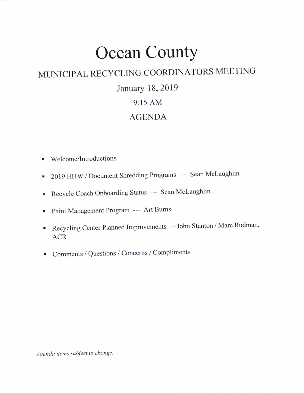# Ocean CountY

# MUNICIPAL RECYCLING COORDINATORS MEETING

# January 18,2019

# 9:15 AM

## AGENDA

- . Welcome/lntroductions
- 2019 HHW / Document Shredding Programs --- Sean McLaughlin
- . Recycle Coach Onboarding Status --- Sean Mclaughlin
- . Paint Management Program -- Art Burns
- . Recycling Center Planned Improvements --- John Stanton / Marc Rudman, ACR
- . Comments / Questions / Concems / Compliments

Agenda items subject to change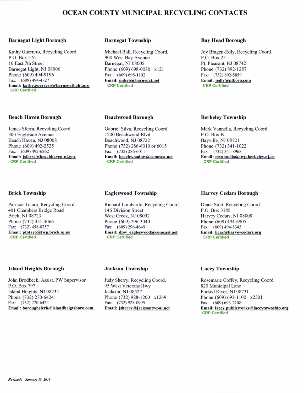## OCEAN COUNTY MUNICIPAL RECYCLING CONTACTS

#### Bsrnegat Light Borough

Kathy Guerrero, Recycling Coord. P.O. Box 576 l0 Easr 7th Street Bamegat Light, NJ 08006 Phone (609) 494-9196 Fax: (609) 494-4827 Email: kathy.guerrero@barnegatlight.org CRP Certified

#### Beach Haven Borough

James Sferra, Recycling Coord. 300 Engleside Avenue Beach Haven, NJ 08008 Phone (609) 492-2525 Fax: (609) 492-6262 Email: jsferra@beachhaven-nj.gov **CRP Certified** 

#### Brick Township

Patricia Totaro, Recycling Coord. 401 Chambers Bridge Road Brick, NJ 08723 Phone (732) 451-4066 Fax: (732) 458-0757 Email: ptotaro@twp.brick.nj.us CRP Certified

### **Island Heights Borough**

John Brodbeck, Assist. PW Supervisor P.O. Box 797 Island Heights, NJ 08732 Phone (732) 270-6424<br>Fax: (732) 270-6424 Email: boroughclerk@islandheigtsboro.com.

#### Barnegat Township

Michael Ball, Recycling Coord. 900 West Bay Avenue Bamegat, NJ 08005 Phone (609) 698-0080 x121 Fax: (609) 698-1102 Email: mikeb@barnegat.net **CRP Certified** 

#### Beachwood Borough

Gabriel Silva, Recycling Coord. 1200 Beachwood Blvd. Beachwood, NJ 08722 Phone (732) 286-6010 or 6015 Fax: (732) 286-6011 Email: beachwoodpw@comcast.net CRP Certified

### Eagleswood Township

Richard Lombardo, Recycling Coord. 146 Division Street West Creek. NJ 08092 Phone (609) 296-3040 Fax: (609) 296-4649 Email: dpw\_eagleswood@comcast.net **CRP Certified** 

### Bay Head Borough

Joy Bragen-Edly, Recycling Coord. P.O. Box 25 Pt. Pleasant, NJ 08742 Phone (732) 892-1287 Fax: (732) 892-5859 Email: jedly@ptboro.com **CRP Certified** 

### Berkeley Township

Mark Vannella, Recycling Coord. P.O. Box B Bayville, NJ 08721 Phone (732) 341-1022 Far: (732) 341-8968 Email: mvannella@twp.berkeley.nj.us **CRP Certified** 

### Harvey Cedars Borough

Diana Stott, Recycling Coord. P.O. Box 3185 Harvey Cedars, NJ 08008 Phone (609) 494-6905 Fax: (609) 494-8343 Email: hcac@harvevcedars.org CRP Certified

### Jackson Township

Judy Sherry, Recycling Coord. 95 West Veterans Hwy Jackson. NJ 08527 Phone (732) 928-1200 x1269 Fax: (732) 928-0995 Email: jsherry@jacksontwpnj.net

### Lacey Township

Rosemarie Coffey, Recycling Coord. 820 Municipal lane Forked River, NJ 08731 Phone (609) 693-1100 x2301 Fax: (609) 693-7108 Email: lacey.publicworks@laceytownship.org **CRP** Certified